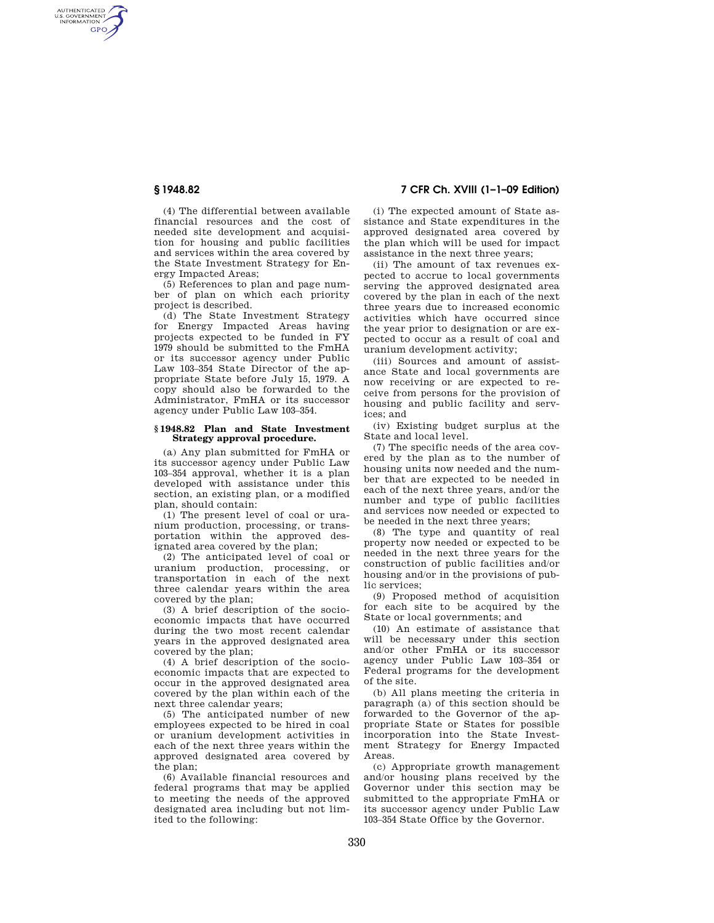AUTHENTICATED<br>U.S. GOVERNMENT<br>INFORMATION **GPO** 

**§ 1948.82 7 CFR Ch. XVIII (1–1–09 Edition)** 

(4) The differential between available financial resources and the cost of needed site development and acquisition for housing and public facilities and services within the area covered by the State Investment Strategy for Energy Impacted Areas;

(5) References to plan and page number of plan on which each priority project is described.

(d) The State Investment Strategy for Energy Impacted Areas having projects expected to be funded in FY 1979 should be submitted to the FmHA or its successor agency under Public Law 103–354 State Director of the appropriate State before July 15, 1979. A copy should also be forwarded to the Administrator, FmHA or its successor agency under Public Law 103–354.

## **§ 1948.82 Plan and State Investment Strategy approval procedure.**

(a) Any plan submitted for FmHA or its successor agency under Public Law 103–354 approval, whether it is a plan developed with assistance under this section, an existing plan, or a modified plan, should contain:

(1) The present level of coal or uranium production, processing, or transportation within the approved designated area covered by the plan;

(2) The anticipated level of coal or uranium production, processing, or transportation in each of the next three calendar years within the area covered by the plan;

(3) A brief description of the socioeconomic impacts that have occurred during the two most recent calendar years in the approved designated area covered by the plan;

(4) A brief description of the socioeconomic impacts that are expected to occur in the approved designated area covered by the plan within each of the next three calendar years;

(5) The anticipated number of new employees expected to be hired in coal or uranium development activities in each of the next three years within the approved designated area covered by  $the$  plan;

(6) Available financial resources and federal programs that may be applied to meeting the needs of the approved designated area including but not limited to the following:

(i) The expected amount of State assistance and State expenditures in the approved designated area covered by the plan which will be used for impact assistance in the next three years;

(ii) The amount of tax revenues expected to accrue to local governments serving the approved designated area covered by the plan in each of the next three years due to increased economic activities which have occurred since the year prior to designation or are expected to occur as a result of coal and uranium development activity;

(iii) Sources and amount of assistance State and local governments are now receiving or are expected to receive from persons for the provision of housing and public facility and services; and

(iv) Existing budget surplus at the State and local level.

(7) The specific needs of the area covered by the plan as to the number of housing units now needed and the number that are expected to be needed in each of the next three years, and/or the number and type of public facilities and services now needed or expected to be needed in the next three years;

(8) The type and quantity of real property now needed or expected to be needed in the next three years for the construction of public facilities and/or housing and/or in the provisions of public services;

(9) Proposed method of acquisition for each site to be acquired by the State or local governments; and

(10) An estimate of assistance that will be necessary under this section and/or other FmHA or its successor agency under Public Law 103–354 or Federal programs for the development of the site.

(b) All plans meeting the criteria in paragraph (a) of this section should be forwarded to the Governor of the appropriate State or States for possible incorporation into the State Investment Strategy for Energy Impacted Areas.

(c) Appropriate growth management and/or housing plans received by the Governor under this section may be submitted to the appropriate FmHA or its successor agency under Public Law 103–354 State Office by the Governor.